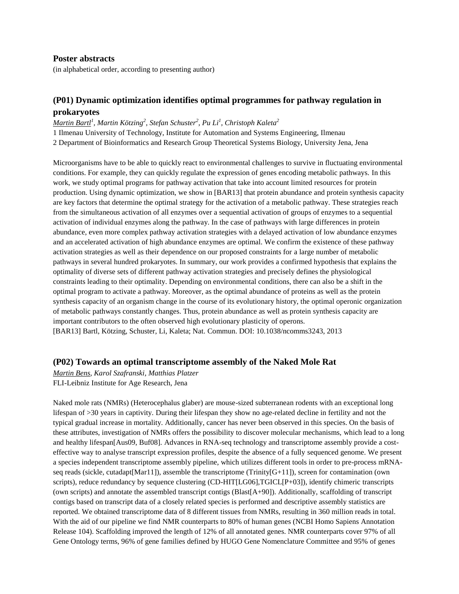#### **Poster abstracts**

(in alphabetical order, according to presenting author)

# **(P01) Dynamic optimization identifies optimal programmes for pathway regulation in prokaryotes**

*Martin Bartl<sup>1</sup> , Martin Kötzing<sup>2</sup> , Stefan Schuster<sup>2</sup> , Pu Li<sup>1</sup> , Christoph Kaleta<sup>2</sup>* 1 Ilmenau University of Technology, Institute for Automation and Systems Engineering, Ilmenau 2 Department of Bioinformatics and Research Group Theoretical Systems Biology, University Jena, Jena

Microorganisms have to be able to quickly react to environmental challenges to survive in fluctuating environmental conditions. For example, they can quickly regulate the expression of genes encoding metabolic pathways. In this work, we study optimal programs for pathway activation that take into account limited resources for protein production. Using dynamic optimization, we show in [BAR13] that protein abundance and protein synthesis capacity are key factors that determine the optimal strategy for the activation of a metabolic pathway. These strategies reach from the simultaneous activation of all enzymes over a sequential activation of groups of enzymes to a sequential activation of individual enzymes along the pathway. In the case of pathways with large differences in protein abundance, even more complex pathway activation strategies with a delayed activation of low abundance enzymes and an accelerated activation of high abundance enzymes are optimal. We confirm the existence of these pathway activation strategies as well as their dependence on our proposed constraints for a large number of metabolic pathways in several hundred prokaryotes. In summary, our work provides a confirmed hypothesis that explains the optimality of diverse sets of different pathway activation strategies and precisely defines the physiological constraints leading to their optimality. Depending on environmental conditions, there can also be a shift in the optimal program to activate a pathway. Moreover, as the optimal abundance of proteins as well as the protein synthesis capacity of an organism change in the course of its evolutionary history, the optimal operonic organization of metabolic pathways constantly changes. Thus, protein abundance as well as protein synthesis capacity are important contributors to the often observed high evolutionary plasticity of operons. [BAR13] Bartl, Kötzing, Schuster, Li, Kaleta; Nat. Commun. DOI: 10.1038/ncomms3243, 2013

#### **(P02) Towards an optimal transcriptome assembly of the Naked Mole Rat**

*Martin Bens, Karol Szafranski, Matthias Platzer* FLI-Leibniz Institute for Age Research, Jena

Naked mole rats (NMRs) (Heterocephalus glaber) are mouse-sized subterranean rodents with an exceptional long lifespan of >30 years in captivity. During their lifespan they show no age-related decline in fertility and not the typical gradual increase in mortality. Additionally, cancer has never been observed in this species. On the basis of these attributes, investigation of NMRs offers the possibility to discover molecular mechanisms, which lead to a long and healthy lifespan[Aus09, Buf08]. Advances in RNA-seq technology and transcriptome assembly provide a costeffective way to analyse transcript expression profiles, despite the absence of a fully sequenced genome. We present a species independent transcriptome assembly pipeline, which utilizes different tools in order to pre-process mRNAseq reads (sickle, cutadapt [Mar11]), assemble the transcriptome (Trinity  $[G+11]$ ), screen for contamination (own scripts), reduce redundancy by sequence clustering (CD-HIT[LG06],TGICL[P+03]), identify chimeric transcripts (own scripts) and annotate the assembled transcript contigs (Blast[A+90]). Additionally, scaffolding of transcript contigs based on transcript data of a closely related species is performed and descriptive assembly statistics are reported. We obtained transcriptome data of 8 different tissues from NMRs, resulting in 360 million reads in total. With the aid of our pipeline we find NMR counterparts to 80% of human genes (NCBI Homo Sapiens Annotation Release 104). Scaffolding improved the length of 12% of all annotated genes. NMR counterparts cover 97% of all Gene Ontology terms, 96% of gene families defined by HUGO Gene Nomenclature Committee and 95% of genes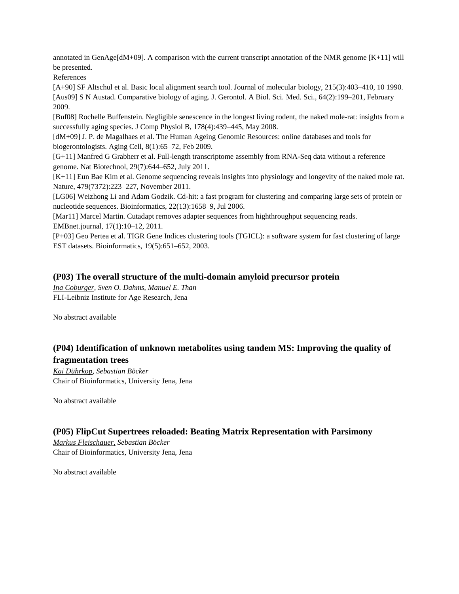annotated in GenAge[dM+09]. A comparison with the current transcript annotation of the NMR genome [K+11] will be presented.

References

[A+90] SF Altschul et al. Basic local alignment search tool. Journal of molecular biology, 215(3):403–410, 10 1990. [Aus09] S N Austad. Comparative biology of aging. J. Gerontol. A Biol. Sci. Med. Sci., 64(2):199–201, February 2009.

[Buf08] Rochelle Buffenstein. Negligible senescence in the longest living rodent, the naked mole-rat: insights from a successfully aging species. J Comp Physiol B, 178(4):439–445, May 2008.

[dM+09] J. P. de Magalhaes et al. The Human Ageing Genomic Resources: online databases and tools for biogerontologists. Aging Cell, 8(1):65–72, Feb 2009.

[G+11] Manfred G Grabherr et al. Full-length transcriptome assembly from RNA-Seq data without a reference genome. Nat Biotechnol, 29(7):644–652, July 2011.

[K+11] Eun Bae Kim et al. Genome sequencing reveals insights into physiology and longevity of the naked mole rat. Nature, 479(7372):223–227, November 2011.

[LG06] Weizhong Li and Adam Godzik. Cd-hit: a fast program for clustering and comparing large sets of protein or nucleotide sequences. Bioinformatics, 22(13):1658–9, Jul 2006.

[Mar11] Marcel Martin. Cutadapt removes adapter sequences from highthroughput sequencing reads. EMBnet.journal, 17(1):10–12, 2011.

[P+03] Geo Pertea et al. TIGR Gene Indices clustering tools (TGICL): a software system for fast clustering of large EST datasets. Bioinformatics, 19(5):651–652, 2003.

## **(P03) The overall structure of the multi-domain amyloid precursor protein**

*Ina Coburger, Sven O. Dahms, Manuel E. Than* FLI-Leibniz Institute for Age Research, Jena

No abstract available

# **(P04) Identification of unknown metabolites using tandem MS: Improving the quality of fragmentation trees**

*Kai Dührkop, Sebastian Böcker* Chair of Bioinformatics, University Jena, Jena

No abstract available

## **(P05) FlipCut Supertrees reloaded: Beating Matrix Representation with Parsimony**

*Markus Fleischauer, Sebastian Böcker* Chair of Bioinformatics, University Jena, Jena

No abstract available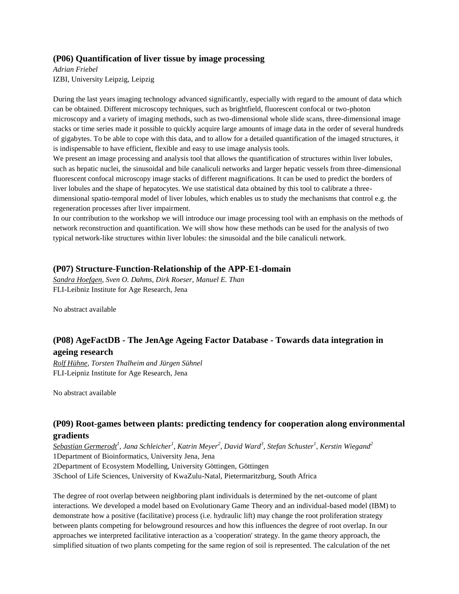### **(P06) Quantification of liver tissue by image processing**

*Adrian Friebel* IZBI, University Leipzig, Leipzig

During the last years imaging technology advanced significantly, especially with regard to the amount of data which can be obtained. Different microscopy techniques, such as brightfield, fluorescent confocal or two-photon microscopy and a variety of imaging methods, such as two-dimensional whole slide scans, three-dimensional image stacks or time series made it possible to quickly acquire large amounts of image data in the order of several hundreds of gigabytes. To be able to cope with this data, and to allow for a detailed quantification of the imaged structures, it is indispensable to have efficient, flexible and easy to use image analysis tools.

We present an image processing and analysis tool that allows the quantification of structures within liver lobules, such as hepatic nuclei, the sinusoidal and bile canaliculi networks and larger hepatic vessels from three-dimensional fluorescent confocal microscopy image stacks of different magnifications. It can be used to predict the borders of liver lobules and the shape of hepatocytes. We use statistical data obtained by this tool to calibrate a threedimensional spatio-temporal model of liver lobules, which enables us to study the mechanisms that control e.g. the regeneration processes after liver impairment.

In our contribution to the workshop we will introduce our image processing tool with an emphasis on the methods of network reconstruction and quantification. We will show how these methods can be used for the analysis of two typical network-like structures within liver lobules: the sinusoidal and the bile canaliculi network.

### **(P07) Structure-Function-Relationship of the APP-E1-domain**

*Sandra Hoefgen, Sven O. Dahms, Dirk Roeser, Manuel E. Than* FLI-Leibniz Institute for Age Research, Jena

No abstract available

# **(P08) AgeFactDB - The JenAge Ageing Factor Database - Towards data integration in ageing research**

*Rolf Hühne, Torsten Thalheim and Jürgen Sühnel* FLI-Leipniz Institute for Age Research, Jena

No abstract available

# **(P09) Root-games between plants: predicting tendency for cooperation along environmental gradients**

*Sebastian Germerodt<sup>1</sup> , Jana Schleicher<sup>1</sup> , Katrin Meyer<sup>2</sup> , David Ward<sup>3</sup> , Stefan Schuster<sup>1</sup> , Kerstin Wiegand<sup>2</sup>* 1Department of Bioinformatics, University Jena, Jena 2Department of Ecosystem Modelling, University Göttingen, Göttingen 3School of Life Sciences, University of KwaZulu-Natal, Pietermaritzburg, South Africa

The degree of root overlap between neighboring plant individuals is determined by the net-outcome of plant interactions. We developed a model based on Evolutionary Game Theory and an individual-based model (IBM) to demonstrate how a positive (facilitative) process (i.e. hydraulic lift) may change the root proliferation strategy between plants competing for belowground resources and how this influences the degree of root overlap. In our approaches we interpreted facilitative interaction as a 'cooperation' strategy. In the game theory approach, the simplified situation of two plants competing for the same region of soil is represented. The calculation of the net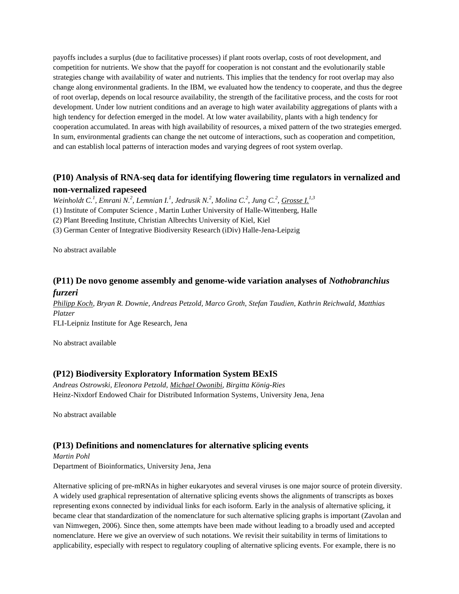payoffs includes a surplus (due to facilitative processes) if plant roots overlap, costs of root development, and competition for nutrients. We show that the payoff for cooperation is not constant and the evolutionarily stable strategies change with availability of water and nutrients. This implies that the tendency for root overlap may also change along environmental gradients. In the IBM, we evaluated how the tendency to cooperate, and thus the degree of root overlap, depends on local resource availability, the strength of the facilitative process, and the costs for root development. Under low nutrient conditions and an average to high water availability aggregations of plants with a high tendency for defection emerged in the model. At low water availability, plants with a high tendency for cooperation accumulated. In areas with high availability of resources, a mixed pattern of the two strategies emerged. In sum, environmental gradients can change the net outcome of interactions, such as cooperation and competition, and can establish local patterns of interaction modes and varying degrees of root system overlap.

# **(P10) Analysis of RNA-seq data for identifying flowering time regulators in vernalized and non-vernalized rapeseed**

*Weinholdt C.<sup>1</sup> , Emrani N.<sup>2</sup> , Lemnian I.<sup>1</sup> , Jedrusik N.<sup>2</sup> , Molina C.<sup>2</sup> , Jung C.<sup>2</sup> , Grosse I.1,3*

(1) Institute of Computer Science , Martin Luther University of Halle-Wittenberg, Halle

(2) Plant Breeding Institute, Christian Albrechts University of Kiel, Kiel

(3) German Center of Integrative Biodiversity Research (iDiv) Halle-Jena-Leipzig

No abstract available

# **(P11) De novo genome assembly and genome-wide variation analyses of** *Nothobranchius furzeri*

*Philipp Koch, Bryan R. Downie, Andreas Petzold, Marco Groth, Stefan Taudien, Kathrin Reichwald, Matthias Platzer*

FLI-Leipniz Institute for Age Research, Jena

No abstract available

# **(P12) Biodiversity Exploratory Information System BExIS**

*Andreas Ostrowski, Eleonora Petzold, Michael Owonibi, Birgitta König-Ries* Heinz-Nixdorf Endowed Chair for Distributed Information Systems, University Jena, Jena

No abstract available

## **(P13) Definitions and nomenclatures for alternative splicing events**

*Martin Pohl* Department of Bioinformatics, University Jena, Jena

Alternative splicing of pre-mRNAs in higher eukaryotes and several viruses is one major source of protein diversity. A widely used graphical representation of alternative splicing events shows the alignments of transcripts as boxes representing exons connected by individual links for each isoform. Early in the analysis of alternative splicing, it became clear that standardization of the nomenclature for such alternative splicing graphs is important (Zavolan and van Nimwegen, 2006). Since then, some attempts have been made without leading to a broadly used and accepted nomenclature. Here we give an overview of such notations. We revisit their suitability in terms of limitations to applicability, especially with respect to regulatory coupling of alternative splicing events. For example, there is no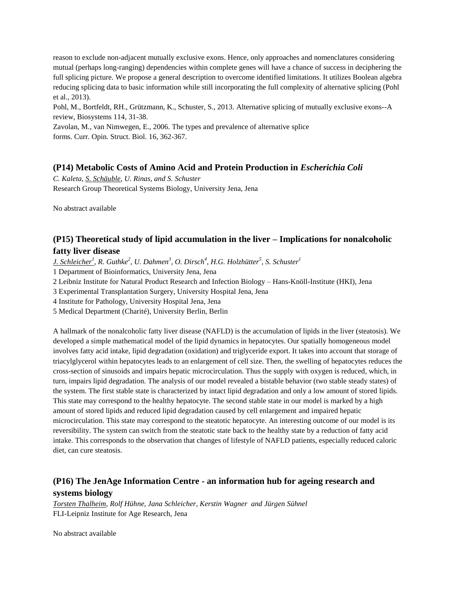reason to exclude non-adjacent mutually exclusive exons. Hence, only approaches and nomenclatures considering mutual (perhaps long-ranging) dependencies within complete genes will have a chance of success in deciphering the full splicing picture. We propose a general description to overcome identified limitations. It utilizes Boolean algebra reducing splicing data to basic information while still incorporating the full complexity of alternative splicing (Pohl et al., 2013).

Pohl, M., Bortfeldt, RH., Grützmann, K., Schuster, S., 2013. Alternative splicing of mutually exclusive exons--A review, Biosystems 114, 31-38.

Zavolan, M., van Nimwegen, E., 2006. The types and prevalence of alternative splice forms. Curr. Opin. Struct. Biol. 16, 362-367.

## **(P14) Metabolic Costs of Amino Acid and Protein Production in** *Escherichia Coli*

*C. Kaleta, S. Schäuble, U. Rinas, and S. Schuster* Research Group Theoretical Systems Biology, University Jena, Jena

No abstract available

# **(P15) Theoretical study of lipid accumulation in the liver – Implications for nonalcoholic fatty liver disease**

*J. Schleicher<sup>1</sup> , R. Guthke<sup>2</sup> , U. Dahmen<sup>3</sup> , O. Dirsch<sup>4</sup> , H.G. Holzhütter<sup>5</sup> , S. Schuster<sup>1</sup>*

1 Department of Bioinformatics, University Jena, Jena

2 Leibniz Institute for Natural Product Research and Infection Biology – Hans-Knöll-Institute (HKI), Jena

3 Experimental Transplantation Surgery, University Hospital Jena, Jena

4 Institute for Pathology, University Hospital Jena, Jena

5 Medical Department (Charité), University Berlin, Berlin

A hallmark of the nonalcoholic fatty liver disease (NAFLD) is the accumulation of lipids in the liver (steatosis). We developed a simple mathematical model of the lipid dynamics in hepatocytes. Our spatially homogeneous model involves fatty acid intake, lipid degradation (oxidation) and triglyceride export. It takes into account that storage of triacylglycerol within hepatocytes leads to an enlargement of cell size. Then, the swelling of hepatocytes reduces the cross-section of sinusoids and impairs hepatic microcirculation. Thus the supply with oxygen is reduced, which, in turn, impairs lipid degradation. The analysis of our model revealed a bistable behavior (two stable steady states) of the system. The first stable state is characterized by intact lipid degradation and only a low amount of stored lipids. This state may correspond to the healthy hepatocyte. The second stable state in our model is marked by a high amount of stored lipids and reduced lipid degradation caused by cell enlargement and impaired hepatic microcirculation. This state may correspond to the steatotic hepatocyte. An interesting outcome of our model is its reversibility. The system can switch from the steatotic state back to the healthy state by a reduction of fatty acid intake. This corresponds to the observation that changes of lifestyle of NAFLD patients, especially reduced caloric diet, can cure steatosis.

# **(P16) The JenAge Information Centre - an information hub for ageing research and systems biology**

*Torsten Thalheim, Rolf Hühne, Jana Schleicher, Kerstin Wagner and Jürgen Sühnel* FLI-Leipniz Institute for Age Research, Jena

No abstract available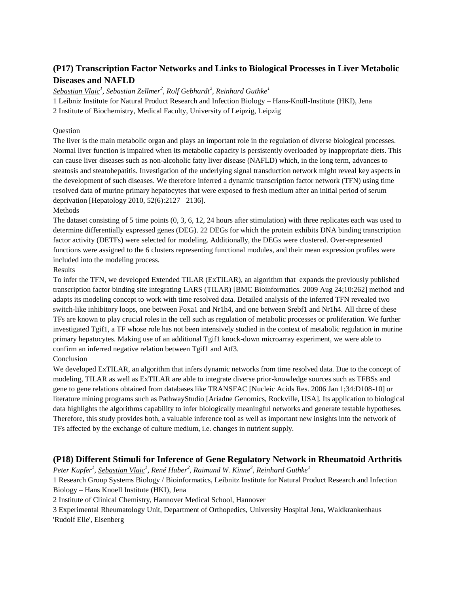# **(P17) Transcription Factor Networks and Links to Biological Processes in Liver Metabolic Diseases and NAFLD**

*Sebastian Vlaic<sup>1</sup> , Sebastian Zellmer<sup>2</sup> , Rolf Gebhardt<sup>2</sup> , Reinhard Guthke<sup>1</sup>*

1 Leibniz Institute for Natural Product Research and Infection Biology – Hans-Knöll-Institute (HKI), Jena

2 Institute of Biochemistry, Medical Faculty, University of Leipzig, Leipzig

#### **Ouestion**

The liver is the main metabolic organ and plays an important role in the regulation of diverse biological processes. Normal liver function is impaired when its metabolic capacity is persistently overloaded by inappropriate diets. This can cause liver diseases such as non-alcoholic fatty liver disease (NAFLD) which, in the long term, advances to steatosis and steatohepatitis. Investigation of the underlying signal transduction network might reveal key aspects in the development of such diseases. We therefore inferred a dynamic transcription factor network (TFN) using time resolved data of murine primary hepatocytes that were exposed to fresh medium after an initial period of serum deprivation [Hepatology 2010, 52(6):2127– 2136].

#### Methods

The dataset consisting of 5 time points (0, 3, 6, 12, 24 hours after stimulation) with three replicates each was used to determine differentially expressed genes (DEG). 22 DEGs for which the protein exhibits DNA binding transcription factor activity (DETFs) were selected for modeling. Additionally, the DEGs were clustered. Over-represented functions were assigned to the 6 clusters representing functional modules, and their mean expression profiles were included into the modeling process.

#### Results

To infer the TFN, we developed Extended TILAR (ExTILAR), an algorithm that expands the previously published transcription factor binding site integrating LARS (TILAR) [BMC Bioinformatics. 2009 Aug 24;10:262] method and adapts its modeling concept to work with time resolved data. Detailed analysis of the inferred TFN revealed two switch-like inhibitory loops, one between Foxa1 and Nr1h4, and one between Srebf1 and Nr1h4. All three of these TFs are known to play crucial roles in the cell such as regulation of metabolic processes or proliferation. We further investigated Tgif1, a TF whose role has not been intensively studied in the context of metabolic regulation in murine primary hepatocytes. Making use of an additional Tgif1 knock-down microarray experiment, we were able to confirm an inferred negative relation between Tgif1 and Atf3.

### Conclusion

We developed ExTILAR, an algorithm that infers dynamic networks from time resolved data. Due to the concept of modeling, TILAR as well as ExTILAR are able to integrate diverse prior-knowledge sources such as TFBSs and gene to gene relations obtained from databases like TRANSFAC [Nucleic Acids Res. 2006 Jan 1;34:D108-10] or literature mining programs such as PathwayStudio [Ariadne Genomics, Rockville, USA]. Its application to biological data highlights the algorithms capability to infer biologically meaningful networks and generate testable hypotheses. Therefore, this study provides both, a valuable inference tool as well as important new insights into the network of TFs affected by the exchange of culture medium, i.e. changes in nutrient supply.

## **(P18) Different Stimuli for Inference of Gene Regulatory Network in Rheumatoid Arthritis**

*Peter Kupfer<sup>1</sup> , Sebastian Vlaic<sup>1</sup> , René Huber<sup>2</sup> , Raimund W. Kinne<sup>3</sup> , Reinhard Guthke<sup>1</sup>*

1 Research Group Systems Biology / Bioinformatics, Leibnitz Institute for Natural Product Research and Infection Biology – Hans Knoell Institute (HKI), Jena

2 Institute of Clinical Chemistry, Hannover Medical School, Hannover

3 Experimental Rheumatology Unit, Department of Orthopedics, University Hospital Jena, Waldkrankenhaus 'Rudolf Elle', Eisenberg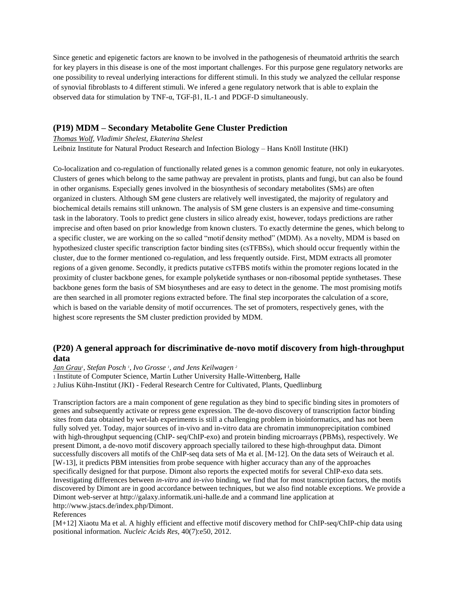Since genetic and epigenetic factors are known to be involved in the pathogenesis of rheumatoid arthritis the search for key players in this disease is one of the most important challenges. For this purpose gene regulatory networks are one possibility to reveal underlying interactions for different stimuli. In this study we analyzed the cellular response of synovial fibroblasts to 4 different stimuli. We infered a gene regulatory network that is able to explain the observed data for stimulation by TNF-α, TGF-β1, IL-1 and PDGF-D simultaneously.

## **(P19) MDM – Secondary Metabolite Gene Cluster Prediction**

#### *Thomas Wolf, Vladimir Shelest, Ekaterina Shelest*

Leibniz Institute for Natural Product Research and Infection Biology – Hans Knöll Institute (HKI)

Co-localization and co-regulation of functionally related genes is a common genomic feature, not only in eukaryotes. Clusters of genes which belong to the same pathway are prevalent in protists, plants and fungi, but can also be found in other organisms. Especially genes involved in the biosynthesis of secondary metabolites (SMs) are often organized in clusters. Although SM gene clusters are relatively well investigated, the majority of regulatory and biochemical details remains still unknown. The analysis of SM gene clusters is an expensive and time-consuming task in the laboratory. Tools to predict gene clusters in silico already exist, however, todays predictions are rather imprecise and often based on prior knowledge from known clusters. To exactly determine the genes, which belong to a specific cluster, we are working on the so called "motif density method" (MDM). As a novelty, MDM is based on hypothesized cluster specific transcription factor binding sites (csTFBSs), which should occur frequently within the cluster, due to the former mentioned co-regulation, and less frequently outside. First, MDM extracts all promoter regions of a given genome. Secondly, it predicts putative csTFBS motifs within the promoter regions located in the proximity of cluster backbone genes, for example polyketide synthases or non-ribosomal peptide synthetases. These backbone genes form the basis of SM biosyntheses and are easy to detect in the genome. The most promising motifs are then searched in all promoter regions extracted before. The final step incorporates the calculation of a score, which is based on the variable density of motif occurrences. The set of promoters, respectively genes, with the highest score represents the SM cluster prediction provided by MDM.

## **(P20) A general approach for discriminative de-novo motif discovery from high-throughput data**

*Jan Grau<sup>1</sup> , Stefan Posch <sup>1</sup> , Ivo Grosse <sup>1</sup> , and Jens Keilwagen <sup>2</sup>*

<sup>1</sup> Institute of Computer Science, Martin Luther University Halle-Wittenberg, Halle

<sup>2</sup> Julius Kühn-Institut (JKI) - Federal Research Centre for Cultivated, Plants, Quedlinburg

Transcription factors are a main component of gene regulation as they bind to specific binding sites in promoters of genes and subsequently activate or repress gene expression. The de-novo discovery of transcription factor binding sites from data obtained by wet-lab experiments is still a challenging problem in bioinformatics, and has not been fully solved yet. Today, major sources of in-vivo and in-vitro data are chromatin immunoprecipitation combined with high-throughput sequencing (ChIP- seq/ChIP-exo) and protein binding microarrays (PBMs), respectively. We present Dimont, a de-novo motif discovery approach specially tailored to these high-throughput data. Dimont successfully discovers all motifs of the ChIP-seq data sets of Ma et al. [M+12]. On the data sets of Weirauch et al. [W+13], it predicts PBM intensities from probe sequence with higher accuracy than any of the approaches specifically designed for that purpose. Dimont also reports the expected motifs for several ChIP-exo data sets. Investigating differences between *in-vitro* and *in-vivo* binding, we find that for most transcription factors, the motifs discovered by Dimont are in good accordance between techniques, but we also find notable exceptions. We provide a Dimont web-server at http://galaxy.informatik.uni-halle.de and a command line application at http://www.jstacs.de/index.php/Dimont.

#### References

[M+12] Xiaotu Ma et al. A highly efficient and effective motif discovery method for ChIP-seq/ChIP-chip data using positional information. *Nucleic Acids Res*, 40(7):e50, 2012.